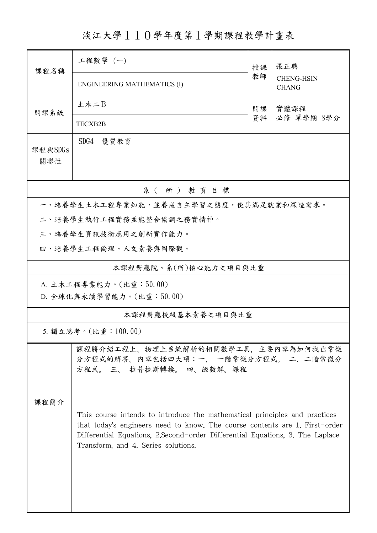淡江大學110學年度第1學期課程教學計畫表

| 課程名稱                                                                                                    | 工程數學 (一)<br>授課                      |                                                                                                                                                                                                                                             | 張正興                               |  |  |  |  |  |  |
|---------------------------------------------------------------------------------------------------------|-------------------------------------|---------------------------------------------------------------------------------------------------------------------------------------------------------------------------------------------------------------------------------------------|-----------------------------------|--|--|--|--|--|--|
|                                                                                                         | <b>ENGINEERING MATHEMATICS (I)</b>  | 教師                                                                                                                                                                                                                                          | <b>CHENG-HSIN</b><br><b>CHANG</b> |  |  |  |  |  |  |
| 開課系級                                                                                                    | 土木二B                                | 開課                                                                                                                                                                                                                                          | 實體課程                              |  |  |  |  |  |  |
|                                                                                                         | <b>TECXB2B</b>                      | 資料                                                                                                                                                                                                                                          | 必修 單學期 3學分                        |  |  |  |  |  |  |
| 課程與SDGs<br>關聯性                                                                                          | SDG4<br>優質教育                        |                                                                                                                                                                                                                                             |                                   |  |  |  |  |  |  |
| 系(所)教育目標                                                                                                |                                     |                                                                                                                                                                                                                                             |                                   |  |  |  |  |  |  |
| 一、培養學生土木工程專業知能,並養成自主學習之態度,使其滿足就業和深造需求。                                                                  |                                     |                                                                                                                                                                                                                                             |                                   |  |  |  |  |  |  |
|                                                                                                         | 二、培養學生執行工程實務並能整合協調之務實精神。            |                                                                                                                                                                                                                                             |                                   |  |  |  |  |  |  |
|                                                                                                         | 三、培養學生資訊技術應用之創新實作能力。                |                                                                                                                                                                                                                                             |                                   |  |  |  |  |  |  |
|                                                                                                         | 四、培養學生工程倫理、人文素養與國際觀。                |                                                                                                                                                                                                                                             |                                   |  |  |  |  |  |  |
|                                                                                                         | 本課程對應院、系(所)核心能力之項目與比重               |                                                                                                                                                                                                                                             |                                   |  |  |  |  |  |  |
| A. 土木工程專業能力。(比重:50.00)<br>D. 全球化與永續學習能力。(比重:50.00)                                                      |                                     |                                                                                                                                                                                                                                             |                                   |  |  |  |  |  |  |
| 本課程對應校級基本素養之項目與比重                                                                                       |                                     |                                                                                                                                                                                                                                             |                                   |  |  |  |  |  |  |
|                                                                                                         | 5. 獨立思考。(比重:100.00)                 |                                                                                                                                                                                                                                             |                                   |  |  |  |  |  |  |
| 課程將介紹工程上、物理上系統解析的相關數學工具,主要內容為如何找出常微<br>分方程式的解答。内容包括四大項:一、 一階常微分方程式。 二、二階常微分<br>方程式。 三、 拉普拉斯轉換。 四、級數解。課程 |                                     |                                                                                                                                                                                                                                             |                                   |  |  |  |  |  |  |
| 课程简介                                                                                                    | Transform, and 4. Series solutions. | This course intends to introduce the mathematical principles and practices<br>that today's engineers need to know. The course contents are 1. First-order<br>Differential Equations, 2. Second-order Differential Equations, 3. The Laplace |                                   |  |  |  |  |  |  |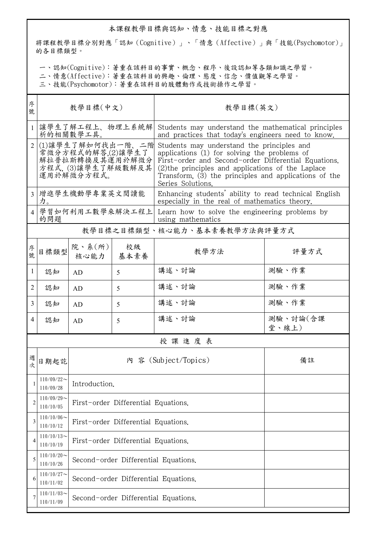## 本課程教學目標與認知、情意、技能目標之對應

將課程教學目標分別對應「認知(Cognitive)」、「情意(Affective)」與「技能(Psychomotor)」 的各目標類型。

一、認知(Cognitive):著重在該科目的事實、概念、程序、後設認知等各類知識之學習。

二、情意(Affective):著重在該科目的興趣、倫理、態度、信念、價值觀等之學習。

三、技能(Psychomotor):著重在該科目的肢體動作或技術操作之學習。

| 序<br>號         | 教學目標(中文)                                                                                      |                                      |                      | 教學目標(英文)                                                                                                                                                                                                                                                                               |                   |  |  |
|----------------|-----------------------------------------------------------------------------------------------|--------------------------------------|----------------------|----------------------------------------------------------------------------------------------------------------------------------------------------------------------------------------------------------------------------------------------------------------------------------------|-------------------|--|--|
| $\mathbf{1}$   | 讓學生了解工程上、物理上系統解<br>析的相關數學工具。                                                                  |                                      |                      | Students may understand the mathematical principles<br>and practices that today's engineers need to know.                                                                                                                                                                              |                   |  |  |
| $\overline{2}$ | (1)讓學生了解如何找出一階、二階<br>常微分方程式的解答,(2)讓學生了<br>解拉普拉斯轉換及其運用於解微分<br>方程式, (3)讓學生了解級數解及其<br>運用於解微分方程式。 |                                      |                      | Students may understand the principles and<br>applications (1) for solving the problems of<br>First-order and Second-order Differential Equations.<br>(2) the principles and applications of the Laplace<br>Transform, (3) the principles and applications of the<br>Series Solutions. |                   |  |  |
| 3              | 增進學生機動學專業英文閱讀能<br>力。                                                                          |                                      |                      | Enhancing students' ability to read technical English<br>especially in the real of mathematics theory.                                                                                                                                                                                 |                   |  |  |
|                | 學習如何利用工數學來解決工程上<br>的問題                                                                        |                                      |                      | Learn how to solve the engineering problems by<br>using mathematics                                                                                                                                                                                                                    |                   |  |  |
|                | 教學目標之目標類型、核心能力、基本素養教學方法與評量方式                                                                  |                                      |                      |                                                                                                                                                                                                                                                                                        |                   |  |  |
| 序號             | 目標類型                                                                                          | 院、系(所)<br>核心能力                       | 校級<br>基本素養           | 教學方法                                                                                                                                                                                                                                                                                   | 評量方式              |  |  |
| 1              | 認知                                                                                            | AD                                   | 5                    | 講述、討論                                                                                                                                                                                                                                                                                  | 測驗、作業             |  |  |
| 2              | 認知                                                                                            | AD                                   | 5                    | 講述、討論                                                                                                                                                                                                                                                                                  | 測驗、作業             |  |  |
| 3              | 認知                                                                                            | AD                                   | 5                    | 講述、討論                                                                                                                                                                                                                                                                                  | 測驗、作業             |  |  |
| 4              | 認知                                                                                            | AD                                   | 5                    | 講述、討論                                                                                                                                                                                                                                                                                  | 測驗、討論(含課<br>堂、線上) |  |  |
| 授課進度表          |                                                                                               |                                      |                      |                                                                                                                                                                                                                                                                                        |                   |  |  |
| 坎              | 日期起訖                                                                                          |                                      | 內 容 (Subject/Topics) | 備註                                                                                                                                                                                                                                                                                     |                   |  |  |
| 1              | $110/09/22$ ~<br>110/09/28                                                                    | Introduction.                        |                      |                                                                                                                                                                                                                                                                                        |                   |  |  |
| 2              | $110/09/29$ ~<br>110/10/05                                                                    | First-order Differential Equations.  |                      |                                                                                                                                                                                                                                                                                        |                   |  |  |
| 3              | $110/10/06$ ~<br>110/10/12                                                                    | First-order Differential Equations.  |                      |                                                                                                                                                                                                                                                                                        |                   |  |  |
| 4              | $110/10/13$ ~<br>110/10/19                                                                    | First-order Differential Equations.  |                      |                                                                                                                                                                                                                                                                                        |                   |  |  |
| 5              | $110/10/20$ ~<br>110/10/26                                                                    | Second-order Differential Equations. |                      |                                                                                                                                                                                                                                                                                        |                   |  |  |
| 6              | $110/10/27$ ~<br>110/11/02                                                                    | Second-order Differential Equations. |                      |                                                                                                                                                                                                                                                                                        |                   |  |  |
| 7              | $110/11/03$ ~<br>110/11/09                                                                    | Second-order Differential Equations. |                      |                                                                                                                                                                                                                                                                                        |                   |  |  |